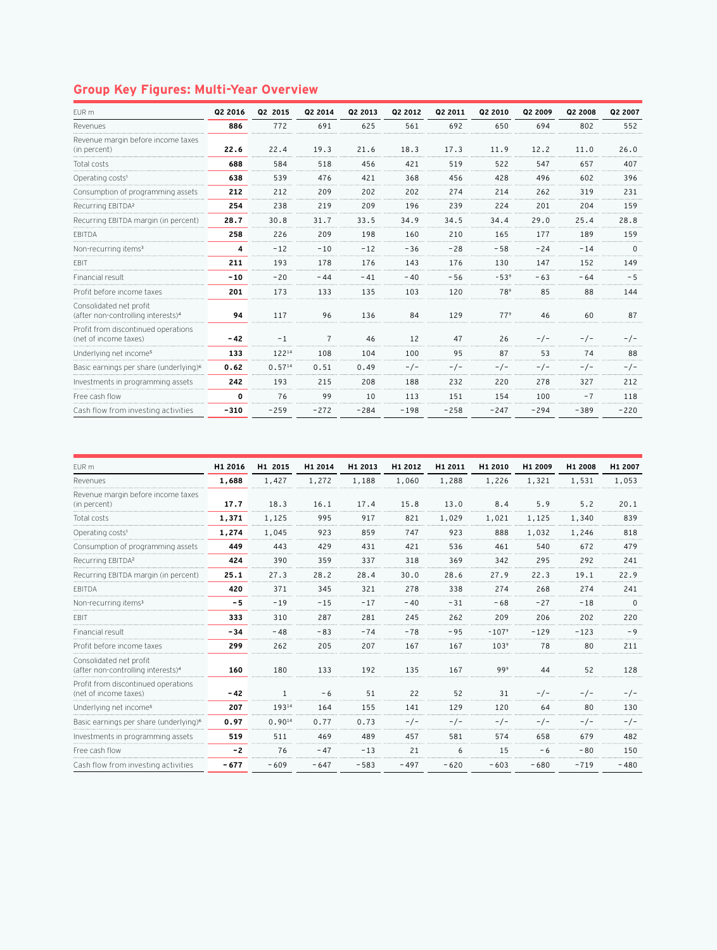## **Group Key Figures: Multi-Year Overview**

| EUR m                                                                     | Q2 2016      | Q2 2015     | Q2 2014        | Q2 2013 | Q2 2012 | Q2 2011 | Q2 2010         | Q2 2009 | Q2 2008 | Q2 2007  |
|---------------------------------------------------------------------------|--------------|-------------|----------------|---------|---------|---------|-----------------|---------|---------|----------|
| Revenues                                                                  | 886          | 772         | 691            | 625     | 561     | 692     | 650             | 694     | 802     | 552      |
| Revenue margin before income taxes<br>(in percent)                        | 22.6         | 22.4        | 19.3           | 21.6    | 18.3    | 17.3    | 11.9            | 12.2    | 11.0    | 26.0     |
| Total costs                                                               | 688          | 584         | 518            | 456     | 421     | 519     | 522             | 547     | 657     | 407      |
| Operating costs <sup>1</sup>                                              | 638          | 539         | 476            | 421     | 368     | 456     | 428             | 496     | 602     | 396      |
| Consumption of programming assets                                         | 212          | 212         | 209            | 202     | 202     | 274     | 214             | 262     | 319     | 231      |
| Recurring EBITDA <sup>2</sup>                                             | 254          | 238         | 219            | 209     | 196     | 239     | 224             | 201     | 204     | 159      |
| Recurring EBITDA margin (in percent)                                      | 28.7         | 30.8        | 31.7           | 33.5    | 34.9    | 34.5    | 34.4            | 29.0    | 25.4    | 28.8     |
| EBITDA                                                                    | 258          | 226         | 209            | 198     | 160     | 210     | 165             | 177     | 189     | 159      |
| Non-recurring items <sup>3</sup>                                          | 4            | $-12$       | $-10$          | $-12$   | $-36$   | $-28$   | $-58$           | $-24$   | $-14$   | $\Omega$ |
| EBIT                                                                      | 211          | 193         | 178            | 176     | 143     | 176     | 130             | 147     | 152     | 149      |
| Financial result                                                          | $-10$        | $-20$       | $-44$          | $-41$   | $-40$   | $-56$   | $-5.3^9$        | $-63$   | $-64$   | $-5$     |
| Profit before income taxes                                                | 201          | 173         | 133            | 135     | 103     | 120     | 789             | 85      | 88      | 144      |
| Consolidated net profit<br>(after non-controlling interests) <sup>4</sup> | 94           | 117         | 96             | 136     | 84      | 129     | 77 <sup>9</sup> | 46      | 60      | 87       |
| Profit from discontinued operations<br>(net of income taxes)              | $-42$        | $-1$        | $\overline{7}$ | 46      | 12      | 47      | 26              | $-/-$   | $-/-$   | $-/-$    |
| Underlying net income <sup>5</sup>                                        | 133          | 12214       | 108            | 104     | 100     | 95      | 87              | 53      | 74      | 88       |
| Basic earnings per share (underlying) <sup>6</sup>                        | 0.62         | $0.57^{14}$ | 0.51           | 0.49    | $-/-$   | $-/-$   | $-/-$           | - / -   | - / -   | - / -    |
| Investments in programming assets                                         | 242          | 193         | 215            | 208     | 188     | 232     | 220             | 278     | 327     | 212      |
| Free cash flow                                                            | $\mathbf{0}$ | 76          | 99             | 10      | 113     | 151     | 154             | 100     | $-7$    | 118      |
| Cash flow from investing activities                                       | $-310$       | $-259$      | $-272$         | $-284$  | $-198$  | $-258$  | $-247$          | $-294$  | $-389$  | $-220$   |

| EUR m                                                                     | H1 2016 | H1 2015      | H1 2014 | H1 2013 | H1 2012 | H1 2011 | H1 2010             | H1 2009 | H1 2008 | H1 2007  |
|---------------------------------------------------------------------------|---------|--------------|---------|---------|---------|---------|---------------------|---------|---------|----------|
| Revenues                                                                  | 1,688   | 1,427        | 1,272   | 1,188   | 1,060   | 1,288   | 1,226               | 1,321   | 1,531   | 1,053    |
| Revenue margin before income taxes<br>(in percent)                        | 17.7    | 18.3         | 16.1    | 17.4    | 15.8    | 13.0    | 8.4                 | 5.9     | 5.2     | 20.1     |
| Total costs                                                               | 1,371   | 1,125        | 995     | 917     | 821     | 1,029   | 1,021               | 1,125   | 1,340   | 839      |
| Operating costs <sup>1</sup>                                              | 1,274   | 1,045        | 923     | 859     | 747     | 923     | 888                 | 1,032   | 1,246   | 818      |
| Consumption of programming assets                                         | 449     | 443          | 429     | 431     | 421     | 536     | 461                 | 540     | 672     | 479      |
| Recurring EBITDA <sup>2</sup>                                             | 424     | 390          | 359     | 337     | 318     | 369     | 342                 | 295     | 292     | 241      |
| Recurring EBITDA margin (in percent)                                      | 25.1    | 27.3         | 28.2    | 28.4    | 30.0    | 28.6    | 27.9                | 22.3    | 19.1    | 22.9     |
| <b>EBITDA</b>                                                             | 420     | 371          | 345     | 321     | 278     | 338     | 274                 | 268     | 274     | 241      |
| Non-recurring items <sup>3</sup>                                          | $-5$    | $-19$        | $-15$   | $-17$   | $-40$   | $-31$   | $-68$               | $-27$   | $-18$   | $\Omega$ |
| <b>FBIT</b>                                                               | 333     | 310          | 287     | 281     | 245     | 262     | 209                 | 206     | 202     | 220      |
| Financial result                                                          | $-34$   | $-48$        | $-83$   | $-74$   | $-78$   | $-95$   | $-107$ <sup>9</sup> | $-129$  | $-123$  | $-9$     |
| Profit before income taxes                                                | 299     | 262          | 205     | 207     | 167     | 167     | 103 <sup>9</sup>    | 78      | 80      | 211      |
| Consolidated net profit<br>(after non-controlling interests) <sup>4</sup> | 160     | 180          | 133     | 192     | 135     | 167     | 99 <sup>9</sup>     | 44      | 52      | 128      |
| Profit from discontinued operations<br>(net of income taxes)              | $-42$   | $\mathbf{1}$ | $-6$    | 51      | 22      | 52      | 31                  | $-/-$   | $-/-$   | $-/-$    |
| Underlying net income <sup>5</sup>                                        | 207     | 19314        | 164     | 155     | 141     | 129     | 120                 | 64      | 80      | 130      |
| Basic earnings per share (underlying) <sup>6</sup>                        | 0.97    | 0.9014       | 0.77    | 0.73    | $-/-$   | $-/-$   | $-/-$               | - / -   | -/-     | $-/-$    |
| Investments in programming assets                                         | 519     | 511          | 469     | 489     | 457     | 581     | 574                 | 658     | 679     | 482      |
| Free cash flow                                                            | $-2$    | 76           | $-47$   | $-13$   | 21      | 6       | 15                  | $-6$    | $-80$   | 150      |
| Cash flow from investing activities                                       | $-677$  | $-609$       | $-647$  | $-583$  | $-497$  | $-620$  | $-603$              | $-680$  | $-719$  | $-480$   |